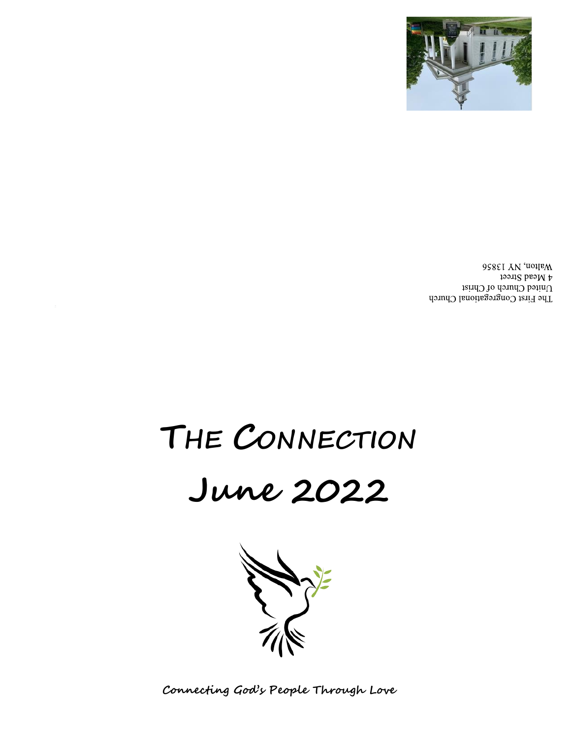**Connecting God's People Through Love**



# **June 2022**

# **THE CONNECTION**

Walton, NY 13856  $\uparrow$  Mead Street United Church of Christ The First Congregational Church

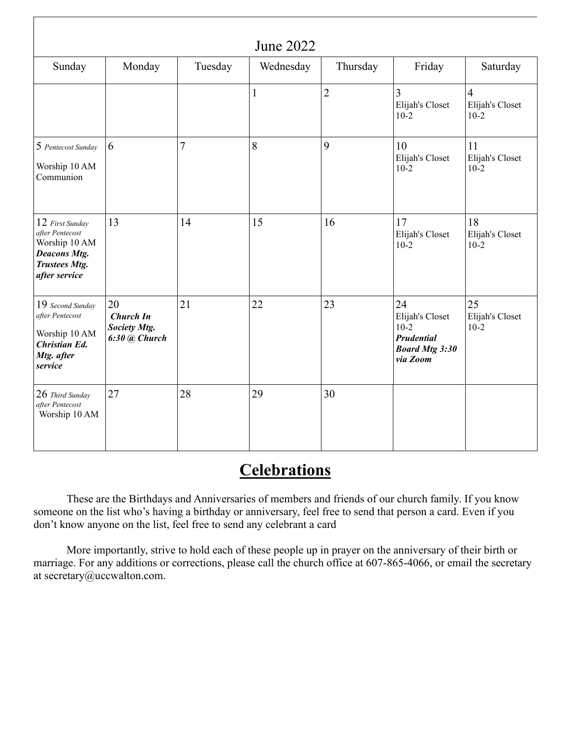| <b>June 2022</b>                                                                                                    |                                                             |         |              |                |                                                                                    |                                             |  |  |
|---------------------------------------------------------------------------------------------------------------------|-------------------------------------------------------------|---------|--------------|----------------|------------------------------------------------------------------------------------|---------------------------------------------|--|--|
| Sunday                                                                                                              | Monday                                                      | Tuesday | Wednesday    | Thursday       | Friday                                                                             | Saturday                                    |  |  |
|                                                                                                                     |                                                             |         | $\mathbf{1}$ | $\overline{2}$ | $\overline{3}$<br>Elijah's Closet<br>$10-2$                                        | $\overline{4}$<br>Elijah's Closet<br>$10-2$ |  |  |
| 5 Pentecost Sunday<br>Worship 10 AM<br>Communion                                                                    | 6                                                           | 7       | 8            | 9              | 10<br>Elijah's Closet<br>$10-2$                                                    | 11<br>Elijah's Closet<br>$10-2$             |  |  |
| 12 First Sunday<br>after Pentecost<br>Worship 10 AM<br><b>Deacons Mtg.</b><br><b>Trustees Mtg.</b><br>after service | 13                                                          | 14      | 15           | 16             | 17<br>Elijah's Closet<br>$10-2$                                                    | 18<br>Elijah's Closet<br>$10-2$             |  |  |
| 19 Second Sunday<br>after Pentecost<br>Worship 10 AM<br><b>Christian Ed.</b><br>Mtg. after<br>service               | 20<br><b>Church In</b><br>Society Mtg.<br>$6:30$ $@$ Church | 21      | 22           | 23             | 24<br>Elijah's Closet<br>$10-2$<br>Prudential<br><b>Board Mtg 3:30</b><br>via Zoom | 25<br>Elijah's Closet<br>$10-2$             |  |  |
| 26 Third Sunday<br>after Pentecost<br>Worship 10 AM                                                                 | 27                                                          | 28      | 29           | 30             |                                                                                    |                                             |  |  |

### **Celebrations**

These are the Birthdays and Anniversaries of members and friends of our church family. If you know someone on the list who's having a birthday or anniversary, feel free to send that person a card. Even if you don't know anyone on the list, feel free to send any celebrant a card

More importantly, strive to hold each of these people up in prayer on the anniversary of their birth or marriage. For any additions or corrections, please call the church office at 607-865-4066, or email the secretary at [secretary@uccwalton.com.](mailto:secretary@uccwalton.com)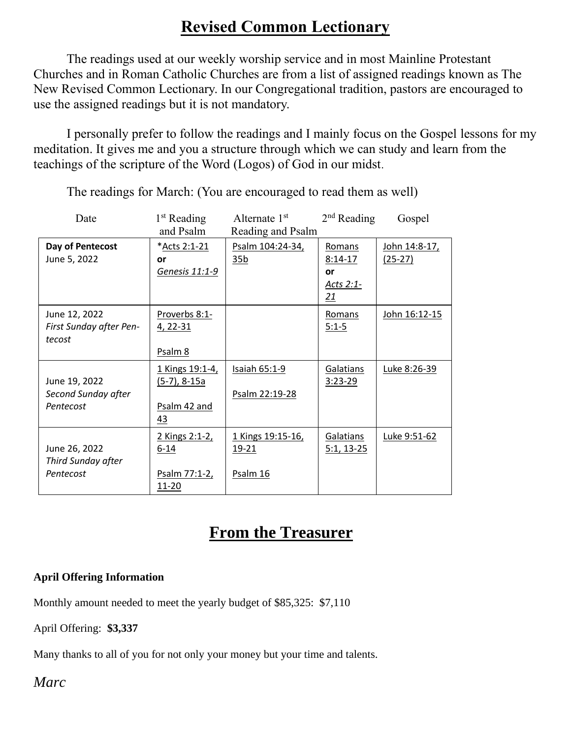## **Revised Common Lectionary**

The readings used at our weekly worship service and in most Mainline Protestant Churches and in Roman Catholic Churches are from a list of assigned readings known as The New Revised Common Lectionary. In our Congregational tradition, pastors are encouraged to use the assigned readings but it is not mandatory.

I personally prefer to follow the readings and I mainly focus on the Gospel lessons for my meditation. It gives me and you a structure through which we can study and learn from the teachings of the scripture of the Word (Logos) of God in our midst.

| Date                                               | $1st$ Reading                                           | Alternate 1 <sup>st</sup>                  | $2nd$ Reading                                | Gospel                            |  |
|----------------------------------------------------|---------------------------------------------------------|--------------------------------------------|----------------------------------------------|-----------------------------------|--|
| and Psalm                                          |                                                         | Reading and Psalm                          |                                              |                                   |  |
| Day of Pentecost<br>June 5, 2022                   | *Acts 2:1-21<br>or<br>Genesis 11:1-9                    | Psalm 104:24-34,<br>35 <sub>b</sub>        | Romans<br>$8:14-17$<br>or<br>Acts 2:1-<br>21 | <u>John 14:8-17,</u><br>$(25-27)$ |  |
| June 12, 2022<br>First Sunday after Pen-<br>tecost | Proverbs 8:1-<br>4, 22-31<br>Psalm 8                    |                                            | Romans<br>$5:1-5$                            | John 16:12-15                     |  |
| June 19, 2022<br>Second Sunday after<br>Pentecost  | 1 Kings 19:1-4,<br>$(5-7), 8-15a$<br>Psalm 42 and<br>43 | Isaiah 65:1-9<br>Psalm 22:19-28            | Galatians<br>$3:23-29$                       | Luke 8:26-39                      |  |
| June 26, 2022<br>Third Sunday after<br>Pentecost   | 2 Kings 2:1-2,<br>$6 - 14$<br>Psalm 77:1-2,<br>11-20    | 1 Kings 19:15-16,<br>$19 - 21$<br>Psalm 16 | Galatians<br><u>5:1, 13-25</u>               | Luke 9:51-62                      |  |

The readings for March: (You are encouraged to read them as well)

### **From the Treasurer**

#### **April Offering Information**

Monthly amount needed to meet the yearly budget of \$85,325: \$7,110

April Offering: **\$3,337**

Many thanks to all of you for not only your money but your time and talents.

*Marc*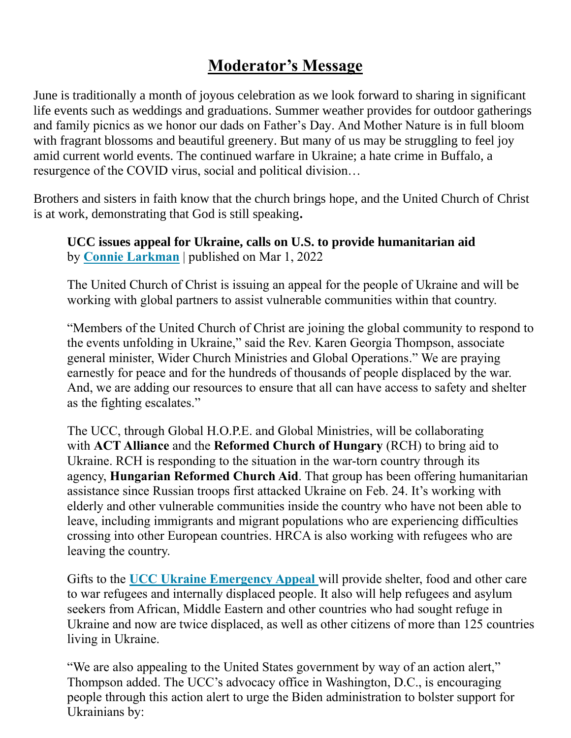# **Moderator's Message**

June is traditionally a month of joyous celebration as we look forward to sharing in significant life events such as weddings and graduations. Summer weather provides for outdoor gatherings and family picnics as we honor our dads on Father's Day. And Mother Nature is in full bloom with fragrant blossoms and beautiful greenery. But many of us may be struggling to feel joy amid current world events. The continued warfare in Ukraine; a hate crime in Buffalo, a resurgence of the COVID virus, social and political division…

Brothers and sisters in faith know that the church brings hope, and the United Church of Christ is at work, demonstrating that God is still speaking**.**

**UCC issues appeal for Ukraine, calls on U.S. to provide humanitarian aid** by **Connie Larkman** | published on Mar 1, 2022

The United Church of Christ is issuing an appeal for the people of Ukraine and will be working with global partners to assist vulnerable communities within that country.

"Members of the United Church of Christ are joining the global community to respond to the events unfolding in Ukraine," said the Rev. Karen Georgia Thompson, associate general minister, Wider Church Ministries and Global Operations." We are praying earnestly for peace and for the hundreds of thousands of people displaced by the war. And, we are adding our resources to ensure that all can have access to safety and shelter as the fighting escalates."

The UCC, through Global H.O.P.E. and Global Ministries, will be collaborating with **ACT Alliance** and the **Reformed Church of Hungary** (RCH) to bring aid to Ukraine. RCH is responding to the situation in the war-torn country through its agency, **Hungarian Reformed Church Aid**. That group has been offering humanitarian assistance since Russian troops first attacked Ukraine on Feb. 24. It's working with elderly and other vulnerable communities inside the country who have not been able to leave, including immigrants and migrant populations who are experiencing difficulties crossing into other European countries. HRCA is also working with refugees who are leaving the country.

Gifts to the **[UCC Ukraine Emergency Appeal](https://www.ucc.org/global-h-o-p-e/ukraine-emergency-appeal/)** will provide shelter, food and other care to war refugees and internally displaced people. It also will help refugees and asylum seekers from African, Middle Eastern and other countries who had sought refuge in Ukraine and now are twice displaced, as well as other citizens of more than 125 countries living in Ukraine.

"We are also appealing to the United States government by way of an action alert," Thompson added. The UCC's advocacy office in Washington, D.C., is encouraging people through [this action alert](https://p2a.co/OKUfu7z) to urge the Biden administration to bolster support for Ukrainians by: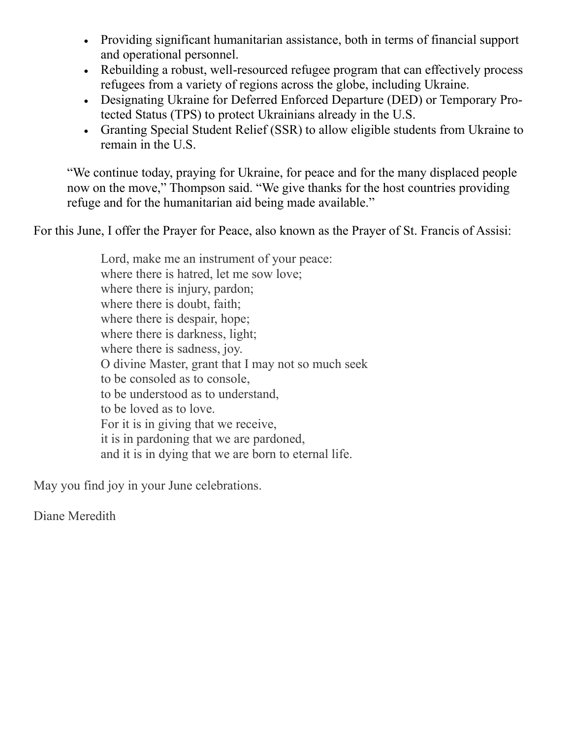- Providing significant humanitarian assistance, both in terms of financial support and operational personnel.
- Rebuilding a robust, well-resourced refugee program that can effectively process refugees from a variety of regions across the globe, including Ukraine.
- Designating Ukraine for Deferred Enforced Departure (DED) or Temporary Protected Status (TPS) to protect Ukrainians already in the U.S.
- Granting Special Student Relief (SSR) to allow eligible students from Ukraine to remain in the U.S.

"We continue today, praying for Ukraine, for peace and for the many displaced people now on the move," Thompson said. "We give thanks for the host countries providing refuge and for the humanitarian aid being made available."

For this June, I offer the Prayer for Peace, also known as the Prayer of St. Francis of Assisi:

Lord, make me an instrument of your peace: where there is hatred, let me sow love; where there is injury, pardon; where there is doubt, faith; where there is despair, hope; where there is darkness, light; where there is sadness, joy. O divine Master, grant that I may not so much seek to be consoled as to console, to be understood as to understand, to be loved as to love. For it is in giving that we receive, it is in pardoning that we are pardoned, and it is in dying that we are born to eternal life.

May you find joy in your June celebrations.

Diane Meredith